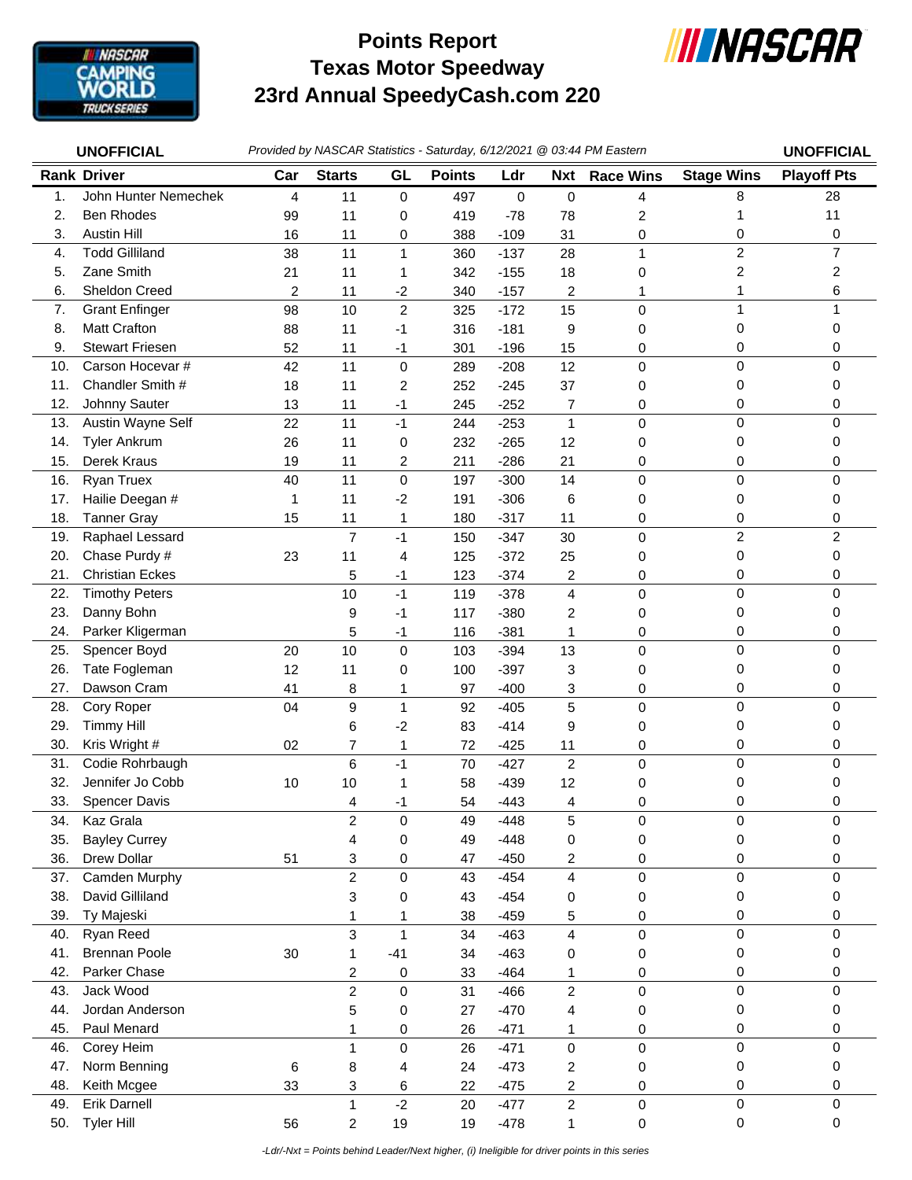

## **Texas Motor Speedway 23rd Annual SpeedyCash.com 220 Points Report**



| <b>UNOFFICIAL</b> |                             | Provided by NASCAR Statistics - Saturday, 6/12/2021 @ 03:44 PM Eastern |                         |                |               |                  |                              |                  | <b>UNOFFICIAL</b>        |                    |
|-------------------|-----------------------------|------------------------------------------------------------------------|-------------------------|----------------|---------------|------------------|------------------------------|------------------|--------------------------|--------------------|
|                   | <b>Rank Driver</b>          | Car                                                                    | <b>Starts</b>           | GL             | <b>Points</b> | Ldr              | <b>Nxt</b>                   | <b>Race Wins</b> | <b>Stage Wins</b>        | <b>Playoff Pts</b> |
| 1.                | John Hunter Nemechek        | 4                                                                      | 11                      | 0              | 497           | $\mathbf 0$      | 0                            | 4                | 8                        | 28                 |
| 2.                | <b>Ben Rhodes</b>           | 99                                                                     | 11                      | 0              | 419           | $-78$            | 78                           | 2                | 1                        | 11                 |
| 3.                | <b>Austin Hill</b>          | 16                                                                     | 11                      | 0              | 388           | $-109$           | 31                           | 0                | 0                        | 0                  |
| 4.                | <b>Todd Gilliland</b>       | 38                                                                     | 11                      | $\mathbf{1}$   | 360           | $-137$           | 28                           | $\mathbf{1}$     | $\overline{c}$           | $\overline{7}$     |
| 5.                | Zane Smith                  | 21                                                                     | 11                      | 1              | 342           | $-155$           | 18                           | 0                | $\overline{\mathbf{c}}$  | 2                  |
| 6.                | Sheldon Creed               | $\overline{c}$                                                         | 11                      | $-2$           | 340           | $-157$           | 2                            | 1                | 1                        | 6                  |
| 7.                | <b>Grant Enfinger</b>       | 98                                                                     | 10                      | $\overline{c}$ | 325           | $-172$           | 15                           | 0                | 1                        | 1                  |
| 8.                | <b>Matt Crafton</b>         | 88                                                                     | 11                      | $-1$           | 316           | $-181$           | 9                            | 0                | 0                        | 0                  |
| 9.                | <b>Stewart Friesen</b>      | 52                                                                     | 11                      | $-1$           | 301           | $-196$           | 15                           | 0                | 0                        | 0                  |
| 10.               | Carson Hocevar #            | 42                                                                     | 11                      | 0              | 289           | $-208$           | 12                           | $\mathbf 0$      | $\mathbf 0$              | $\Omega$           |
| 11.               | Chandler Smith #            | 18                                                                     | 11                      | $\overline{c}$ | 252           | $-245$           | 37                           | 0                | 0                        | 0                  |
| 12.               | Johnny Sauter               | 13                                                                     | 11                      | $-1$           | 245           | $-252$           | 7                            | 0                | 0                        | 0                  |
| 13.               | Austin Wayne Self           | 22                                                                     | 11                      | $-1$           | 244           | $-253$           | $\mathbf{1}$                 | $\mathsf 0$      | 0                        | 0                  |
| 14.               | <b>Tyler Ankrum</b>         | 26                                                                     | 11                      | 0              | 232           | $-265$           | 12                           | 0                | 0                        | 0                  |
| 15.               | Derek Kraus                 | 19                                                                     | 11                      | 2              | 211           | $-286$           | 21                           | 0                | 0                        | 0                  |
| 16.               | Ryan Truex                  | 40                                                                     | 11                      | $\mathbf 0$    | 197           | $-300$           | 14                           | $\mathbf 0$      | 0                        | $\mathbf 0$        |
| 17.               | Hailie Deegan #             | 1                                                                      | 11                      | $-2$           | 191           | $-306$           | 6                            | 0                | 0                        | 0                  |
| 18.               | <b>Tanner Gray</b>          | 15                                                                     | 11                      | 1              | 180           | $-317$           | 11                           | 0                | 0                        | 0                  |
| 19.               | Raphael Lessard             |                                                                        | 7                       | $-1$           | 150           | $-347$           | 30                           | 0                | $\overline{c}$           | $\overline{c}$     |
| 20.               | Chase Purdy #               | 23                                                                     | 11                      | 4              | 125           | $-372$           | 25                           | 0                | 0                        | $\Omega$           |
| 21.               | <b>Christian Eckes</b>      |                                                                        | 5                       | $-1$           | 123           | $-374$           | 2                            | 0                | 0                        | 0                  |
| 22.               | <b>Timothy Peters</b>       |                                                                        | 10                      | $-1$           | 119           | $-378$           | 4                            | 0                | $\mathbf 0$              | 0                  |
| 23.               | Danny Bohn                  |                                                                        | 9                       | $-1$           | 117           | $-380$           | 2                            | 0                | 0                        | 0                  |
| 24.               | Parker Kligerman            |                                                                        | 5                       | $-1$           | 116           | $-381$           | 1                            | 0                | 0                        | 0                  |
| 25.               | Spencer Boyd                | 20                                                                     | 10                      | 0              | 103           | $-394$           | 13                           | 0                | $\mathbf 0$              | $\Omega$           |
| 26.               | Tate Fogleman               | 12                                                                     | 11                      | 0              | 100           | $-397$           | 3                            | 0                | 0                        | 0                  |
| 27.               | Dawson Cram                 | 41                                                                     | 8                       | 1              | 97            | $-400$           | 3                            | 0                | 0                        | 0                  |
| 28.               | Cory Roper                  | 04                                                                     | 9                       | $\mathbf{1}$   | 92            | $-405$           | 5                            | $\mathbf 0$      | 0                        | $\Omega$           |
| 29.               | <b>Timmy Hill</b>           |                                                                        | 6                       | $-2$           | 83            | $-414$           | 9                            | 0                | 0                        | 0                  |
| 30.               | Kris Wright #               | 02                                                                     | 7                       | 1              | 72            | $-425$           | 11                           | 0                | 0                        | 0                  |
| 31.               | Codie Rohrbaugh             |                                                                        | 6                       | $-1$           | 70            | $-427$           | $\boldsymbol{2}$             | $\mathsf 0$      | 0                        | 0                  |
| 32.               | Jennifer Jo Cobb            | 10                                                                     | 10                      | 1              | 58            | $-439$           | 12                           | 0                | 0                        | 0                  |
| 33.               | <b>Spencer Davis</b>        |                                                                        | 4                       | $-1$           | 54            | $-443$           | 4                            | 0                | 0                        | <sup>0</sup>       |
| 34.               | Kaz Grala                   |                                                                        | $\boldsymbol{2}$        | 0              | 49            | $-448$           | 5                            | 0                | 0                        | 0                  |
| 35.               | <b>Bayley Currey</b>        |                                                                        | 4                       | 0              | 49            | $-448$           | 0                            | 0                | 0                        | 0                  |
| 36.               | Drew Dollar                 | 51                                                                     | 3                       | 0              | 47            | $-450$           | 2                            | 0                | 0                        | 0                  |
| 37.               | Camden Murphy               |                                                                        | $\overline{c}$          | $\mathsf 0$    | 43            | $-454$           | 4                            | $\pmb{0}$        | 0                        | 0                  |
| 38.               | David Gilliland             |                                                                        | 3                       | 0              | 43            | $-454$           | 0                            | 0                | 0                        | 0                  |
| 39.               | Ty Majeski                  |                                                                        | 1                       | 1              | 38            | $-459$           | 5                            | 0                | 0                        | 0                  |
| 40.               | Ryan Reed                   |                                                                        | 3                       | $\mathbf{1}$   | 34            | $-463$           | 4                            | $\mathbf 0$      | $\pmb{0}$                | $\mathbf 0$        |
| 41.               | <b>Brennan Poole</b>        | 30                                                                     | 1                       | $-41$          | 34            | $-463$           | 0                            | 0                | 0                        | 0                  |
| 42.               | Parker Chase                |                                                                        | 2                       | 0              | 33            | $-464$           | 1                            | 0                | 0                        | 0                  |
| 43.               | Jack Wood                   |                                                                        | $\overline{c}$          | $\mathsf 0$    | 31            | $-466$           | $\overline{c}$               | $\mathsf 0$      | 0                        | $\mathbf 0$        |
| 44.               | Jordan Anderson             |                                                                        | 5                       | 0              | 27            | $-470$           | 4                            | 0                | 0                        | 0                  |
| 45.               | Paul Menard                 |                                                                        | 1                       | $\pmb{0}$      | 26            | $-471$           | 1                            | $\pmb{0}$        | 0                        | 0                  |
| 46.               | Corey Heim                  |                                                                        | $\mathbf{1}$            | $\mathsf 0$    | 26            | $-471$           | $\mathsf 0$                  | $\pmb{0}$        | $\pmb{0}$                | 0                  |
| 47.               | Norm Benning                | 6                                                                      | 8                       | 4              | 24            | $-473$           | 2                            | 0                | 0                        | 0                  |
| 48.<br>49.        | Keith Mcgee<br>Erik Darnell | 33                                                                     | 3<br>$\mathbf{1}$       | 6<br>$-2$      | 22            | $-475$           | 2                            | 0<br>$\mathsf 0$ | $\pmb{0}$<br>$\mathsf 0$ | 0<br>$\pmb{0}$     |
| 50.               | <b>Tyler Hill</b>           | 56                                                                     | $\overline{\mathbf{c}}$ | 19             | 20<br>19      | $-477$<br>$-478$ | $\overline{\mathbf{c}}$<br>1 | 0                | $\pmb{0}$                | 0                  |
|                   |                             |                                                                        |                         |                |               |                  |                              |                  |                          |                    |